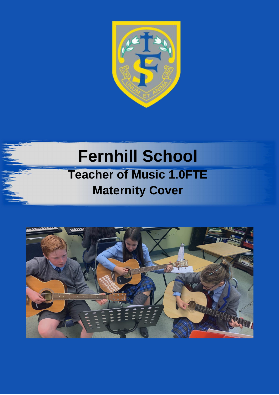

# **Fernhill School Teacher of Music 1.0FTE Maternity Cover**

1944

**Job Application Pack**

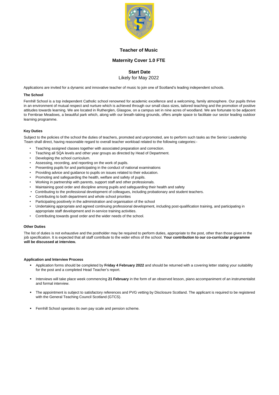

### **Teacher of Music**

## **Maternity Cover 1.0 FTE**

# **Start Date**

#### Likely for May 2022

Applications are invited for a dynamic and innovative teacher of music to join one of Scotland's leading independent schools.

#### **The School**

Fernhill School is a top independent Catholic school renowned for academic excellence and a welcoming, family atmosphere. Our pupils thrive in an environment of mutual respect and nurture which is achieved through our small class sizes, tailored teaching and the promotion of positive attitudes towards learning. We are located in Rutherglen, Glasgow, on a campus set in nine acres of woodland. We are fortunate to be adjacent to Fernbrae Meadows, a beautiful park which, along with our breath-taking grounds, offers ample space to facilitate our sector leading outdoor learning programme.

#### **Key Duties**

Subject to the policies of the school the duties of teachers, promoted and unpromoted, are to perform such tasks as the Senior Leadership Team shall direct, having reasonable regard to overall teacher workload related to the following categories:-

- Application forms should be completed by **Friday 4 February 2022** and should be returned with a covering letter stating your suitability for the post and a completed Head Teacher's report.
- Interviews will take place week commencing **21 February** in the form of an observed lesson, piano accompaniment of an instrumentalist and formal interview.
- The appointment is subject to satisfactory references and PVG vetting by Disclosure Scotland. The applicant is required to be registered with the General Teaching Council Scotland (GTCS).
	-
- **EXECTE FERNIO F FERNIO F FERNIO F PART IS CONTEX FEAT IS CONTEX FEAT IS CONTEX FEAT IS SCHEME.**
- Teaching assigned classes together with associated preparation and correction.
- Teaching all SQA levels and other year groups as directed by Head of Department.
- Developing the school curriculum.
- Assessing, recording, and reporting on the work of pupils.
- Presenting pupils for and participating in the conduct of national examinations
- Providing advice and guidance to pupils on issues related to their education.
- Promoting and safeguarding the health, welfare and safety of pupils.
- Working in partnership with parents, support staff and other professionals.
- Maintaining good order and discipline among pupils and safeguarding their health and safety
- Contributing to the professional development of colleagues, including probationary and student teachers.
- Contributing to both department and whole school priorities
- Participating positively in the administration and organisation of the school
- Undertaking appropriate and agreed continuing professional development, including post-qualification training, and participating in appropriate staff development and in-service training activities.
- Contributing towards good order and the wider needs of the school.

#### **Other Duties**

The list of duties is not exhaustive and the postholder may be required to perform duties, appropriate to the post, other than those given in the job specification. It is expected that all staff contribute to the wider ethos of the school. **Your contribution to our co-curricular programme will be discussed at interview.** 

#### **Application and Interview Process**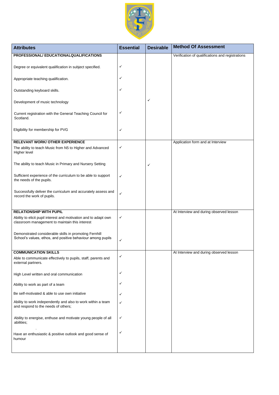| Ability to work independently and also to work within a team<br>and respond to the needs of others; |              |  |  |
|-----------------------------------------------------------------------------------------------------|--------------|--|--|
| Ability to energise, enthuse and motivate young people of all<br>abilities;                         | $\checkmark$ |  |  |
| Have an enthusiastic & positive outlook and good sense of<br>humour                                 | $\checkmark$ |  |  |



| <b>Attributes</b>                                                                                                     | <b>Essential</b> | <b>Desirable</b> | <b>Method Of Assessment</b>                      |
|-----------------------------------------------------------------------------------------------------------------------|------------------|------------------|--------------------------------------------------|
| PROFESSIONAL/EDUCATIONALQUALIFICATIONS                                                                                |                  |                  | Verification of qualifications and registrations |
| Degree or equivalent qualification in subject specified.                                                              | $\checkmark$     |                  |                                                  |
| Appropriate teaching qualification.                                                                                   | ✓                |                  |                                                  |
| Outstanding keyboard skills.                                                                                          | $\checkmark$     |                  |                                                  |
| Development of music technology                                                                                       |                  | ✓                |                                                  |
| Current registration with the General Teaching Council for<br>Scotland.                                               | $\checkmark$     |                  |                                                  |
| Eligibility for membership for PVG                                                                                    | $\checkmark$     |                  |                                                  |
| <b>RELEVANT WORK/ OTHER EXPERIENCE</b>                                                                                |                  |                  | Application form and at Interview                |
| The ability to teach Music from N5 to Higher and Advanced<br>Higher level                                             | $\checkmark$     |                  |                                                  |
| The ability to teach Music in Primary and Nursery Setting                                                             |                  | ✓                |                                                  |
| Sufficient experience of the curriculum to be able to support<br>the needs of the pupils.                             | $\checkmark$     |                  |                                                  |
| Successfully deliver the curriculum and accurately assess and<br>record the work of pupils.                           | $\checkmark$     |                  |                                                  |
| <b>RELATIONSHIP WITH PUPIL</b>                                                                                        |                  |                  |                                                  |
| Ability to elicit pupil interest and motivation and to adapt own<br>classroom management to maintain this interest    | $\checkmark$     |                  | At Interview and during observed lesson          |
| Demonstrated considerable skills in promoting Fernhill<br>School's values, ethos, and positive behaviour among pupils | $\checkmark$     |                  |                                                  |
| <b>COMMUNICATION SKILLS</b>                                                                                           |                  |                  | At Interview and during observed lesson          |
| Able to communicate effectively to pupils, staff, parents and<br>external partners.                                   | $\checkmark$     |                  |                                                  |
| High Level written and oral communication                                                                             | $\checkmark$     |                  |                                                  |
| Ability to work as part of a team                                                                                     | $\checkmark$     |                  |                                                  |
| Be self-motivated & able to use own initiative                                                                        |                  |                  |                                                  |